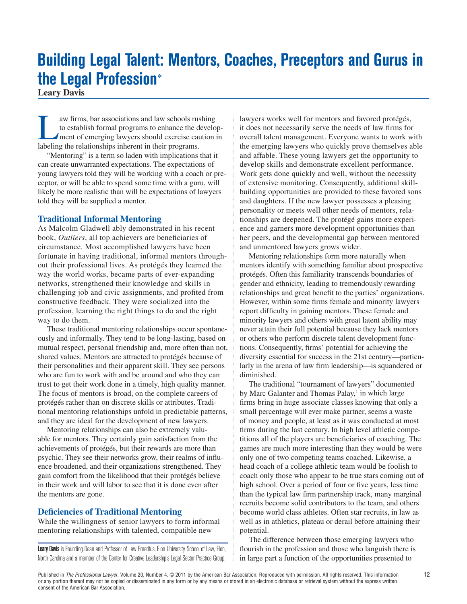# **Building Legal Talent: Mentors, Coaches, Preceptors and Gurus in the Legal Profession**\*

**Leary Davis**

IV aw firms, bar associations and law schools rushing<br>to establish formal programs to enhance the develop-<br>ment of emerging lawyers should exercise caution in<br>labeling the relationships inherent in their programs to establish formal programs to enhance the developlabeling the relationships inherent in their programs.

"Mentoring" is a term so laden with implications that it can create unwarranted expectations. The expectations of young lawyers told they will be working with a coach or preceptor, or will be able to spend some time with a guru, will likely be more realistic than will be expectations of lawyers told they will be supplied a mentor.

### **Traditional Informal Mentoring**

As Malcolm Gladwell ably demonstrated in his recent book, *Outliers*, all top achievers are beneficiaries of circumstance. Most accomplished lawyers have been fortunate in having traditional, informal mentors throughout their professional lives. As protégés they learned the way the world works, became parts of ever-expanding networks, strengthened their knowledge and skills in challenging job and civic assignments, and profited from constructive feedback. They were socialized into the profession, learning the right things to do and the right way to do them.

These traditional mentoring relationships occur spontaneously and informally. They tend to be long-lasting, based on mutual respect, personal friendship and, more often than not, shared values. Mentors are attracted to protégés because of their personalities and their apparent skill. They see persons who are fun to work with and be around and who they can trust to get their work done in a timely, high quality manner. The focus of mentors is broad, on the complete careers of protégés rather than on discrete skills or attributes. Traditional mentoring relationships unfold in predictable patterns, and they are ideal for the development of new lawyers.

Mentoring relationships can also be extremely valuable for mentors. They certainly gain satisfaction from the achievements of protégés, but their rewards are more than psychic. They see their networks grow, their realms of influence broadened, and their organizations strengthened. They gain comfort from the likelihood that their protégés believe in their work and will labor to see that it is done even after the mentors are gone.

## **Deficiencies of Traditional Mentoring**

While the willingness of senior lawyers to form informal mentoring relationships with talented, compatible new

Leary Davis is Founding Dean and Professor of Law Emeritus, Elon University School of Law, Elon, North Carolina and a member of the Center for Creative Leadership's Legal Sector Practice Group.

lawyers works well for mentors and favored protégés, it does not necessarily serve the needs of law firms for overall talent management. Everyone wants to work with the emerging lawyers who quickly prove themselves able and affable. These young lawyers get the opportunity to develop skills and demonstrate excellent performance. Work gets done quickly and well, without the necessity of extensive monitoring. Consequently, additional skillbuilding opportunities are provided to these favored sons and daughters. If the new lawyer possesses a pleasing personality or meets well other needs of mentors, relationships are deepened. The protégé gains more experience and garners more development opportunities than her peers, and the developmental gap between mentored and unmentored lawyers grows wider.

Mentoring relationships form more naturally when mentors identify with something familiar about prospective protégés. Often this familiarity transcends boundaries of gender and ethnicity, leading to tremendously rewarding relationships and great benefit to the parties' organizations. However, within some firms female and minority lawyers report difficulty in gaining mentors. These female and minority lawyers and others with great latent ability may never attain their full potential because they lack mentors or others who perform discrete talent development functions. Consequently, firms' potential for achieving the diversity essential for success in the 21st century—particularly in the arena of law firm leadership—is squandered or diminished.

The traditional "tournament of lawyers" documented by Marc Galanter and Thomas Palay,<sup>1</sup> in which large firms bring in huge associate classes knowing that only a small percentage will ever make partner, seems a waste of money and people, at least as it was conducted at most firms during the last century. In high level athletic competitions all of the players are beneficiaries of coaching. The games are much more interesting than they would be were only one of two competing teams coached. Likewise, a head coach of a college athletic team would be foolish to coach only those who appear to be true stars coming out of high school. Over a period of four or five years, less time than the typical law firm partnership track, many marginal recruits become solid contributors to the team, and others become world class athletes. Often star recruits, in law as well as in athletics, plateau or derail before attaining their potential.

The difference between those emerging lawyers who flourish in the profession and those who languish there is in large part a function of the opportunities presented to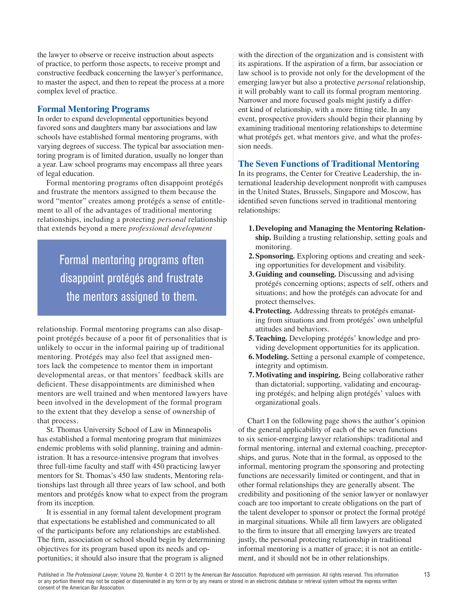the lawyer to observe or receive instruction about aspects of practice, to perform those aspects, to receive prompt and constructive feedback concerning the lawyer's performance, to master the aspect, and then to repeat the process at a more complex level of practice.

## **Formal Mentoring Programs**

In order to expand developmental opportunities beyond favored sons and daughters many bar associations and law schools have established formal mentoring programs, with varying degrees of success. The typical bar association mentoring program is of limited duration, usually no longer than a year. Law school programs may encompass all three years of legal education.

Formal mentoring programs often disappoint protégés and frustrate the mentors assigned to them because the word "mentor" creates among protégés a sense of entitlement to all of the advantages of traditional mentoring relationships, including a protecting *personal* relationship that extends beyond a mere *professional development*

## Formal mentoring programs often disappoint protégés and frustrate the mentors assigned to them.

relationship. Formal mentoring programs can also disappoint protégés because of a poor fit of personalities that is unlikely to occur in the informal pairing up of traditional mentoring. Protégés may also feel that assigned mentors lack the competence to mentor them in important developmental areas, or that mentors' feedback skills are deficient. These disappointments are diminished when mentors are well trained and when mentored lawyers have been involved in the development of the formal program to the extent that they develop a sense of ownership of that process.

St. Thomas University School of Law in Minneapolis has established a formal mentoring program that minimizes endemic problems with solid planning, training and administration. It has a resource-intensive program that involves three full-time faculty and staff with 450 practicing lawyer mentors for St. Thomas's 450 law students, Mentoring relationships last through all three years of law school, and both mentors and protégés know what to expect from the program from its inception.

It is essential in any formal talent development program that expectations be established and communicated to all of the participants before any relationships are established. The firm, association or school should begin by determining objectives for its program based upon its needs and opportunities; it should also insure that the program is aligned

with the direction of the organization and is consistent with its aspirations. If the aspiration of a firm, bar association or law school is to provide not only for the development of the emerging lawyer but also a protective *personal* relationship, it will probably want to call its formal program mentoring. Narrower and more focused goals might justify a different kind of relationship, with a more fitting title. In any event, prospective providers should begin their planning by examining traditional mentoring relationships to determine what protégés get, what mentors give, and what the profession needs.

## **The Seven Functions of Traditional Mentoring**

In its programs, the Center for Creative Leadership, the international leadership development nonprofit with campuses in the United States, Brussels, Singapore and Moscow, has identified seven functions served in traditional mentoring relationships:

- **1.Developing and Managing the Mentoring Relationship.** Building a trusting relationship, setting goals and monitoring.
- **2.Sponsoring.** Exploring options and creating and seeking opportunities for development and visibility.
- **3.Guiding and counseling.** Discussing and advising protégés concerning options; aspects of self, others and situations; and how the protégés can advocate for and protect themselves.
- **4.Protecting.** Addressing threats to protégés emanating from situations and from protégés' own unhelpful attitudes and behaviors.
- **5.Teaching.** Developing protégés' knowledge and providing development opportunities for its application.
- **6.Modeling.** Setting a personal example of competence, integrity and optimism.
- **7.Motivating and inspiring.** Being collaborative rather than dictatorial; supporting, validating and encouraging protégés; and helping align protégés' values with organizational goals.

Chart I on the following page shows the author's opinion of the general applicability of each of the seven functions to six senior-emerging lawyer relationships: traditional and formal mentoring, internal and external coaching, preceptorships, and gurus. Note that in the formal, as opposed to the informal, mentoring program the sponsoring and protecting functions are necessarily limited or contingent, and that in other formal relationships they are generally absent. The credibility and positioning of the senior lawyer or nonlawyer coach are too important to create obligations on the part of the talent developer to sponsor or protect the formal protégé in marginal situations. While all firm lawyers are obligated to the firm to insure that all emerging lawyers are treated justly, the personal protecting relationship in traditional informal mentoring is a matter of grace; it is not an entitlement, and it should not be in other relationships.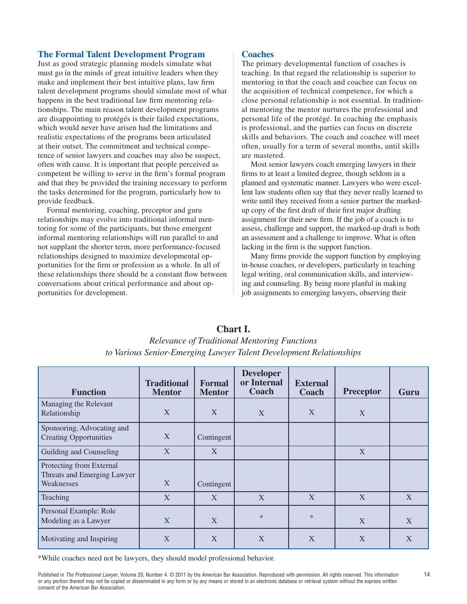#### **The Formal Talent Development Program**

Just as good strategic planning models simulate what must go in the minds of great intuitive leaders when they make and implement their best intuitive plans, law firm talent development programs should simulate most of what happens in the best traditional law firm mentoring relationships. The main reason talent development programs are disappointing to protégés is their failed expectations, which would never have arisen had the limitations and realistic expectations of the programs been articulated at their outset. The commitment and technical competence of senior lawyers and coaches may also be suspect, often with cause. It is important that people perceived as competent be willing to serve in the firm's formal program and that they be provided the training necessary to perform the tasks determined for the program, particularly how to provide feedback.

Formal mentoring, coaching, preceptor and guru relationships may evolve into traditional informal mentoring for some of the participants, but those emergent informal mentoring relationships will run parallel to and not supplant the shorter term, more performance-focused relationships designed to maximize developmental opportunities for the firm or profession as a whole. In all of these relationships there should be a constant flow between conversations about critical performance and about opportunities for development.

#### **Coaches**

The primary developmental function of coaches is teaching. In that regard the relationship is superior to mentoring in that the coach and coachee can focus on the acquisition of technical competence, for which a close personal relationship is not essential. In traditional mentoring the mentor nurtures the professional and personal life of the protégé. In coaching the emphasis is professional, and the parties can focus on discrete skills and behaviors. The coach and coachee will meet often, usually for a term of several months, until skills are mastered.

Most senior lawyers coach emerging lawyers in their firms to at least a limited degree, though seldom in a planned and systematic manner. Lawyers who were excellent law students often say that they never really learned to write until they received from a senior partner the markedup copy of the first draft of their first major drafting assignment for their new firm. If the job of a coach is to assess, challenge and support, the marked-up draft is both an assessment and a challenge to improve. What is often lacking in the firm is the support function.

Many firms provide the support function by employing in-house coaches, or developers, particularly in teaching legal writing, oral communication skills, and interviewing and counseling. By being more planful in making job assignments to emerging lawyers, observing their

| <b>Function</b>                                                       | <b>Traditional</b><br><b>Mentor</b> | <b>Formal</b><br><b>Mentor</b> | <b>Developer</b><br>or Internal<br>Coach | <b>External</b><br><b>Coach</b> | <b>Preceptor</b> | Guru |
|-----------------------------------------------------------------------|-------------------------------------|--------------------------------|------------------------------------------|---------------------------------|------------------|------|
| Managing the Relevant<br>Relationship                                 | X                                   | X                              | X                                        | X                               | X                |      |
| Sponsoring, Advocating and<br><b>Creating Opportunities</b>           | X                                   | Contingent                     |                                          |                                 |                  |      |
| Guilding and Counseling                                               | X                                   | X                              |                                          |                                 | X                |      |
| Protecting from External<br>Threats and Emerging Lawyer<br>Weaknesses | X                                   | Contingent                     |                                          |                                 |                  |      |
| Teaching                                                              | X                                   | X                              | X                                        | X                               | X                | X    |
| Personal Example: Role<br>Modeling as a Lawyer                        | X                                   | X                              | $*$                                      | $\ast$                          | X                | X    |
| Motivating and Inspiring                                              | X                                   | X                              | X                                        | X                               | X                | X    |

## **Chart I.**

*Relevance of Traditional Mentoring Functions to Various Senior-Emerging Lawyer Talent Development Relationships*

\*While coaches need not be lawyers, they should model professional behavior.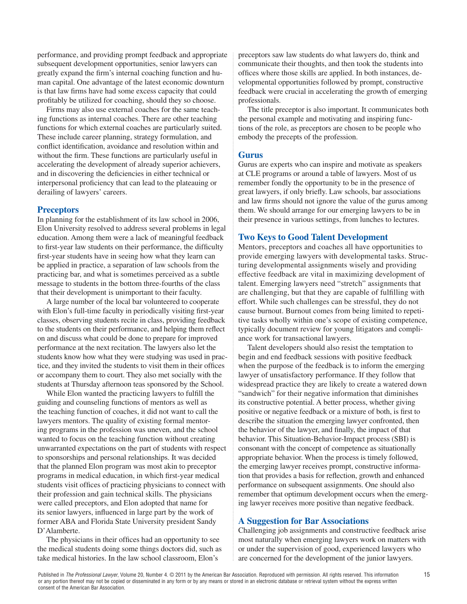performance, and providing prompt feedback and appropriate subsequent development opportunities, senior lawyers can greatly expand the firm's internal coaching function and human capital. One advantage of the latest economic downturn is that law firms have had some excess capacity that could profitably be utilized for coaching, should they so choose.

Firms may also use external coaches for the same teaching functions as internal coaches. There are other teaching functions for which external coaches are particularly suited. These include career planning, strategy formulation, and conflict identification, avoidance and resolution within and without the firm. These functions are particularly useful in accelerating the development of already superior achievers, and in discovering the deficiencies in either technical or interpersonal proficiency that can lead to the plateauing or derailing of lawyers' careers.

#### **Preceptors**

In planning for the establishment of its law school in 2006, Elon University resolved to address several problems in legal education. Among them were a lack of meaningful feedback to first-year law students on their performance, the difficulty first-year students have in seeing how what they learn can be applied in practice, a separation of law schools from the practicing bar, and what is sometimes perceived as a subtle message to students in the bottom three-fourths of the class that their development is unimportant to their faculty.

A large number of the local bar volunteered to cooperate with Elon's full-time faculty in periodically visiting first-year classes, observing students recite in class, providing feedback to the students on their performance, and helping them reflect on and discuss what could be done to prepare for improved performance at the next recitation. The lawyers also let the students know how what they were studying was used in practice, and they invited the students to visit them in their offices or accompany them to court. They also met socially with the students at Thursday afternoon teas sponsored by the School.

While Elon wanted the practicing lawyers to fulfill the guiding and counseling functions of mentors as well as the teaching function of coaches, it did not want to call the lawyers mentors. The quality of existing formal mentoring programs in the profession was uneven, and the school wanted to focus on the teaching function without creating unwarranted expectations on the part of students with respect to sponsorships and personal relationships. It was decided that the planned Elon program was most akin to preceptor programs in medical education, in which first-year medical students visit offices of practicing physicians to connect with their profession and gain technical skills. The physicians were called preceptors, and Elon adopted that name for its senior lawyers, influenced in large part by the work of former ABA and Florida State University president Sandy D'Alamberte.

The physicians in their offices had an opportunity to see the medical students doing some things doctors did, such as take medical histories. In the law school classroom, Elon's

preceptors saw law students do what lawyers do, think and communicate their thoughts, and then took the students into offices where those skills are applied. In both instances, developmental opportunities followed by prompt, constructive feedback were crucial in accelerating the growth of emerging professionals.

The title preceptor is also important. It communicates both the personal example and motivating and inspiring functions of the role, as preceptors are chosen to be people who embody the precepts of the profession.

#### **Gurus**

Gurus are experts who can inspire and motivate as speakers at CLE programs or around a table of lawyers. Most of us remember fondly the opportunity to be in the presence of great lawyers, if only briefly. Law schools, bar associations and law firms should not ignore the value of the gurus among them. We should arrange for our emerging lawyers to be in their presence in various settings, from lunches to lectures.

#### **Two Keys to Good Talent Development**

Mentors, preceptors and coaches all have opportunities to provide emerging lawyers with developmental tasks. Structuring developmental assignments wisely and providing effective feedback are vital in maximizing development of talent. Emerging lawyers need "stretch" assignments that are challenging, but that they are capable of fulfilling with effort. While such challenges can be stressful, they do not cause burnout. Burnout comes from being limited to repetitive tasks wholly within one's scope of existing competence, typically document review for young litigators and compliance work for transactional lawyers.

Talent developers should also resist the temptation to begin and end feedback sessions with positive feedback when the purpose of the feedback is to inform the emerging lawyer of unsatisfactory performance. If they follow that widespread practice they are likely to create a watered down "sandwich" for their negative information that diminishes its constructive potential. A better process, whether giving positive or negative feedback or a mixture of both, is first to describe the situation the emerging lawyer confronted, then the behavior of the lawyer, and finally, the impact of that behavior. This Situation-Behavior-Impact process (SBI) is consonant with the concept of competence as situationally appropriate behavior. When the process is timely followed, the emerging lawyer receives prompt, constructive information that provides a basis for reflection, growth and enhanced performance on subsequent assignments. One should also remember that optimum development occurs when the emerging lawyer receives more positive than negative feedback.

#### **A Suggestion for Bar Associations**

Challenging job assignments and constructive feedback arise most naturally when emerging lawyers work on matters with or under the supervision of good, experienced lawyers who are concerned for the development of the junior lawyers.